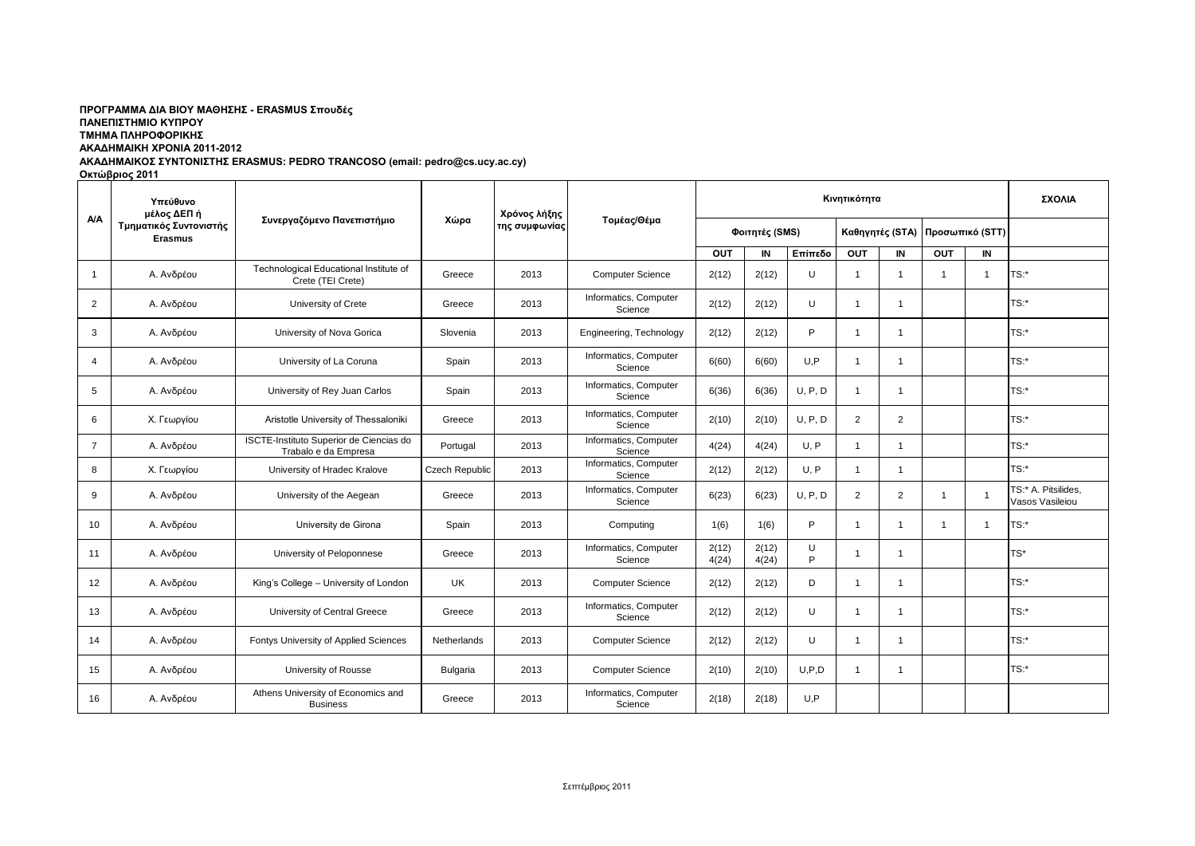### ΠΡΟΓΡΑΜΜΑ ΔΙΑ ΒΙΟΥ ΜΑΘΗΣΗΣ - ERASMUS Σπουδές **ΠΑΝΔΠΙΣΗΜΙΟ ΚΤΠΡΟΤ ΣΜΗΜΑ ΠΛΗΡΟΦΟΡΙΚΗ ΑΚΑΔΗΜΑΙΚΗ ΧΡΟΝΙΑ 2011-2012**

# **ΑΚΑΓΗΜΑΙΚΟ ΤΝΣΟΝΙΣΗ ERASMUS: PEDRO TRANCOSO (email: pedro@cs.ucy.ac.cy)**

**Οκτώβριος 2011** 

|                         | Υπεύθυνο<br>μέλος ΔΕΠ ή<br>Τμηματικός Συντονιστής<br><b>Erasmus</b> | Συνεργαζόμενο Πανεπιστήμιο                                      | Χώρα           | Χρόνος λήξης<br>της συμφωνίας | Τομέας/Θέμα                      | Κινητικότητα   |                |         |                |                 |                 |    | ΣΧΟΛΙΑ                                 |
|-------------------------|---------------------------------------------------------------------|-----------------------------------------------------------------|----------------|-------------------------------|----------------------------------|----------------|----------------|---------|----------------|-----------------|-----------------|----|----------------------------------------|
| A/A                     |                                                                     |                                                                 |                |                               |                                  | Φοιτητές (SMS) |                |         |                | Καθηγητές (STA) | Προσωπικό (STT) |    |                                        |
|                         |                                                                     |                                                                 |                |                               |                                  | OUT            | IN             | Επίπεδο | <b>OUT</b>     | IN              | <b>OUT</b>      | IN |                                        |
| $\overline{\mathbf{1}}$ | Α. Ανδρέου                                                          | Technological Educational Institute of<br>Crete (TEI Crete)     | Greece         | 2013                          | <b>Computer Science</b>          | 2(12)          | 2(12)          | U       | $\mathbf{1}$   | $\overline{1}$  |                 |    | TS:*                                   |
| 2                       | Α. Ανδρέου                                                          | University of Crete                                             | Greece         | 2013                          | Informatics, Computer<br>Science | 2(12)          | 2(12)          | U       | $\overline{1}$ | $\overline{1}$  |                 |    | TS:*                                   |
| 3                       | Α. Ανδρέου                                                          | University of Nova Gorica                                       | Slovenia       | 2013                          | Engineering, Technology          | 2(12)          | 2(12)          | P       | -1             |                 |                 |    | $TS:$ *                                |
| $\overline{4}$          | Α. Ανδρέου                                                          | University of La Coruna                                         | Spain          | 2013                          | Informatics, Computer<br>Science | 6(60)          | 6(60)          | U.P     | $\overline{1}$ | -1              |                 |    | $TS:$ *                                |
| 5                       | Α. Ανδρέου                                                          | University of Rey Juan Carlos                                   | Spain          | 2013                          | Informatics, Computer<br>Science | 6(36)          | 6(36)          | U. P. D | $\overline{1}$ | -1              |                 |    | $TS:$ *                                |
| 6                       | Χ. Γεωργίου                                                         | Aristotle University of Thessaloniki                            | Greece         | 2013                          | Informatics, Computer<br>Science | 2(10)          | 2(10)          | U. P. D | 2              | $\overline{2}$  |                 |    | TS:*                                   |
| $\overline{7}$          | Α. Ανδρέου                                                          | ISCTE-Instituto Superior de Ciencias do<br>Trabalo e da Empresa | Portugal       | 2013                          | Informatics, Computer<br>Science | 4(24)          | 4(24)          | U, P    | $\mathbf{1}$   |                 |                 |    | $TS:$ *                                |
| 8                       | Χ. Γεωργίου                                                         | University of Hradec Kralove                                    | Czech Republic | 2013                          | Informatics, Computer<br>Science | 2(12)          | 2(12)          | U, P    | $\overline{1}$ | $\overline{1}$  |                 |    | $TS:$ *                                |
| 9                       | Α. Ανδρέου                                                          | University of the Aegean                                        | Greece         | 2013                          | Informatics, Computer<br>Science | 6(23)          | 6(23)          | U, P, D | 2              | 2               |                 |    | TS:* A. Pitsilides,<br>Vasos Vasileiou |
| 10                      | Α. Ανδρέου                                                          | University de Girona                                            | Spain          | 2013                          | Computing                        | 1(6)           | 1(6)           | P       | $\overline{1}$ | -1              | -1              | -1 | TS:                                    |
| 11                      | Α. Ανδρέου                                                          | University of Peloponnese                                       | Greece         | 2013                          | Informatics, Computer<br>Science | 2(12)<br>4(24) | 2(12)<br>4(24) | U<br>P  | -1             | -1              |                 |    | TS*                                    |
| 12                      | Α. Ανδρέου                                                          | King's College - University of London                           | UK.            | 2013                          | <b>Computer Science</b>          | 2(12)          | 2(12)          | D       | $\overline{1}$ | $\overline{1}$  |                 |    | $TS:$ *                                |
| 13                      | Α. Ανδρέου                                                          | University of Central Greece                                    | Greece         | 2013                          | Informatics, Computer<br>Science | 2(12)          | 2(12)          | U       | $\overline{1}$ | $\overline{1}$  |                 |    | $TS:$ *                                |
| 14                      | Α. Ανδρέου                                                          | Fontys University of Applied Sciences                           | Netherlands    | 2013                          | <b>Computer Science</b>          | 2(12)          | 2(12)          | U       | $\overline{1}$ | $\overline{1}$  |                 |    | $TS:$ *                                |
| 15                      | Α. Ανδρέου                                                          | University of Rousse                                            | Bulgaria       | 2013                          | <b>Computer Science</b>          | 2(10)          | 2(10)          | U.P.D   | $\overline{1}$ | $\overline{1}$  |                 |    | $TS:$ *                                |
| 16                      | Α. Ανδρέου                                                          | Athens University of Economics and<br><b>Business</b>           | Greece         | 2013                          | Informatics, Computer<br>Science | 2(18)          | 2(18)          | U.P     |                |                 |                 |    |                                        |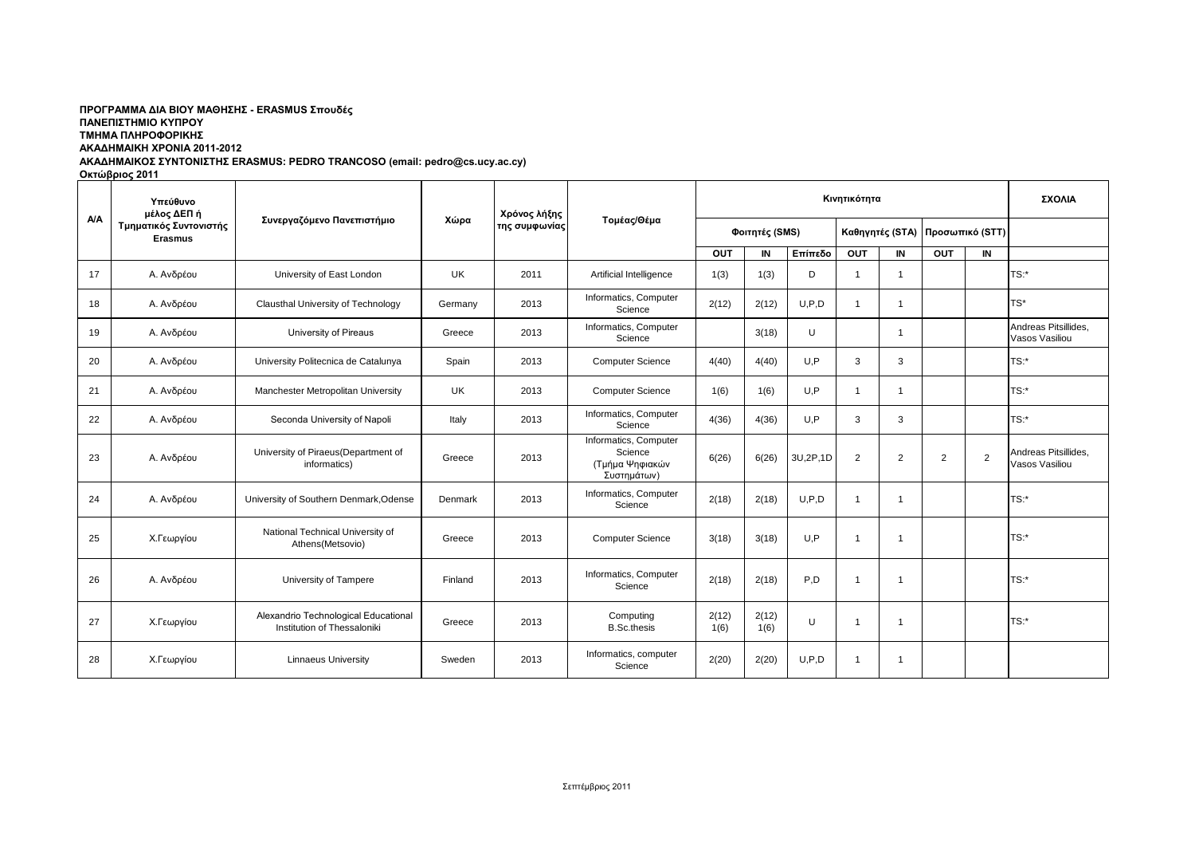## ΠΡΟΓΡΑΜΜΑ ΔΙΑ ΒΙΟΥ ΜΑΘΗΣΗΣ - ERASMUS Σπουδές **ΠΑΝΔΠΙΣΗΜΙΟ ΚΤΠΡΟΤ ΣΜΗΜΑ ΠΛΗΡΟΦΟΡΙΚΗ ΑΚΑΔΗΜΑΙΚΗ ΧΡΟΝΙΑ 2011-2012**

# **ΑΚΑΓΗΜΑΙΚΟ ΤΝΣΟΝΙΣΗ ERASMUS: PEDRO TRANCOSO (email: pedro@cs.ucy.ac.cy)**

**Οκτώβριος 2011** 

|     | Υπεύθυνο<br>μέλος ΔΕΠ ή<br>Τμηματικός Συντονιστής<br><b>Erasmus</b> | Συνεργαζόμενο Πανεπιστήμιο                                          | Χώρα    | Χρόνος λήξης<br>της συμφωνίας | Τομέας/Θέμα                                                        |                | ΣΧΟΛΙΑ        |          |                 |                         |                 |    |                                        |
|-----|---------------------------------------------------------------------|---------------------------------------------------------------------|---------|-------------------------------|--------------------------------------------------------------------|----------------|---------------|----------|-----------------|-------------------------|-----------------|----|----------------------------------------|
| A/A |                                                                     |                                                                     |         |                               |                                                                    | Φοιτητές (SMS) |               |          | Καθηγητές (STA) |                         | Προσωπικό (STT) |    |                                        |
|     |                                                                     |                                                                     |         |                               |                                                                    | <b>OUT</b>     | IN            | Επίπεδο  | <b>OUT</b>      | IN                      | OUT             | IN |                                        |
| 17  | Α. Ανδρέου                                                          | University of East London                                           | UK      | 2011                          | Artificial Intelligence                                            | 1(3)           | 1(3)          | D        | $\overline{1}$  | $\overline{\mathbf{1}}$ |                 |    | TS:                                    |
| 18  | Α. Ανδρέου                                                          | Clausthal University of Technology                                  | Germany | 2013                          | Informatics, Computer<br>Science                                   | 2(12)          | 2(12)         | U, P, D  | $\overline{1}$  | $\overline{\mathbf{1}}$ |                 |    | $TS^*$                                 |
| 19  | Α. Ανδρέου                                                          | University of Pireaus                                               | Greece  | 2013                          | Informatics, Computer<br>Science                                   |                | 3(18)         | U        |                 | $\overline{1}$          |                 |    | Andreas Pitsillides,<br>Vasos Vasiliou |
| 20  | Α. Ανδρέου                                                          | University Politecnica de Catalunya                                 | Spain   | 2013                          | <b>Computer Science</b>                                            | 4(40)          | 4(40)         | U.P      | 3               | 3                       |                 |    | TS:*                                   |
| 21  | Α. Ανδρέου                                                          | Manchester Metropolitan University                                  | UK      | 2013                          | <b>Computer Science</b>                                            | 1(6)           | 1(6)          | U, P     | $\mathbf{1}$    | -1                      |                 |    | TS:                                    |
| 22  | Α. Ανδρέου                                                          | Seconda University of Napoli                                        | Italy   | 2013                          | Informatics, Computer<br>Science                                   | 4(36)          | 4(36)         | U.P      | 3               | 3                       |                 |    | TS:                                    |
| 23  | Α. Ανδρέου                                                          | University of Piraeus (Department of<br>informatics)                | Greece  | 2013                          | Informatics, Computer<br>Science<br>(Τμήμα Ψηφιακών<br>Συστημάτων) | 6(26)          | 6(26)         | 3U,2P,1D | 2               | $\overline{2}$          | 2               | 2  | Andreas Pitsillides.<br>Vasos Vasiliou |
| 24  | Α. Ανδρέου                                                          | University of Southern Denmark, Odense                              | Denmark | 2013                          | Informatics, Computer<br>Science                                   | 2(18)          | 2(18)         | U, P, D  | $\mathbf{1}$    | $\overline{1}$          |                 |    | TS:                                    |
| 25  | Χ.Γεωργίου                                                          | National Technical University of<br>Athens(Metsovio)                | Greece  | 2013                          | <b>Computer Science</b>                                            | 3(18)          | 3(18)         | U.P      | $\mathbf{1}$    | $\overline{\mathbf{1}}$ |                 |    | TS:*                                   |
| 26  | Α. Ανδρέου                                                          | University of Tampere                                               | Finland | 2013                          | Informatics, Computer<br>Science                                   | 2(18)          | 2(18)         | P.D      | $\overline{1}$  | $\overline{1}$          |                 |    | TS:                                    |
| 27  | Χ.Γεωργίου                                                          | Alexandrio Technological Educational<br>Institution of Thessaloniki | Greece  | 2013                          | Computing<br><b>B.Sc.thesis</b>                                    | 2(12)<br>1(6)  | 2(12)<br>1(6) | U        | -1              |                         |                 |    | TS:                                    |
| 28  | Χ.Γεωργίου                                                          | <b>Linnaeus University</b>                                          | Sweden  | 2013                          | Informatics, computer<br>Science                                   | 2(20)          | 2(20)         | U, P, D  | $\overline{1}$  | $\overline{1}$          |                 |    |                                        |